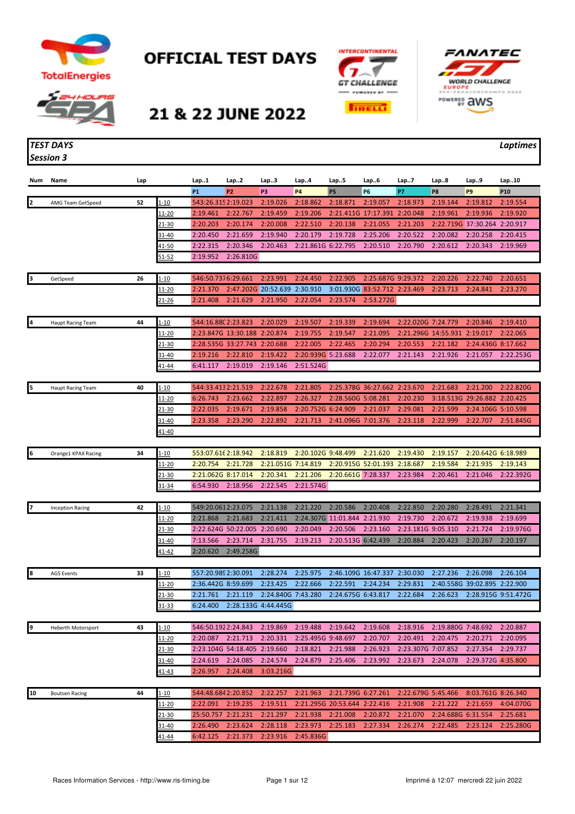

**OFFICIAL TEST DAYS** 





21 & 22 JUNE 2022

## *TEST DAYS Laptimes Session 3*

| Num | Name                      | Lap |               | Lap1                | Lap2                         | Lap3                | Lap4                         | Lap5               | Lap6                         | Lap7               | Lap8                         | Lap9                         | Lap10               |
|-----|---------------------------|-----|---------------|---------------------|------------------------------|---------------------|------------------------------|--------------------|------------------------------|--------------------|------------------------------|------------------------------|---------------------|
|     |                           |     |               | <b>P1</b>           | P <sub>2</sub>               | P3                  | P4                           | P <sub>5</sub>     | P6                           | P7                 | P8                           | P9                           | P <sub>10</sub>     |
|     | AMG Team GetSpeed         | 52  | $1 - 10$      | 543:26.3152:19.023  |                              | 2:19.026            | 2:18.862                     | 2:18.871           | 2:19.057                     | 2:18.973           | 2:19.144                     | 2:19.812                     | 2:19.554            |
|     |                           |     | 11-20         | 2:19.461            | 2:22.767                     | 2:19.459            | 2:19.206                     |                    | 2:21.411G 17:17.391 2:20.048 |                    | 2:19.961                     | 2:19.936                     | 2:19.920            |
|     |                           |     | 21-30         | 2:20.203            | 2:20.174                     | 2:20.008            | 2:22.510                     | 2:20.138           | 2:21.055                     | 2:21.203           |                              | 2:22.719G 37:30.264          | 2:20.917            |
|     |                           |     | $31 - 40$     | 2:20.450            | 2:21.659                     | 2:19.940            | 2:20.179                     | 2:19.728           | 2:25.206                     | 2:20.522           | 2:20.082                     | 2:20.258                     | 2:20.415            |
|     |                           |     | 41-50         | 2:22.315            | 2:20.346                     | 2:20.463            | 2:21.861G 6:22.795           |                    | 2:20.510                     | 2:20.790           | 2:20.612                     | 2:20.343                     | 2:19.969            |
|     |                           |     | 51-52         | 2:19.952            | 2:26.810G                    |                     |                              |                    |                              |                    |                              |                              |                     |
|     |                           |     |               |                     |                              |                     |                              |                    |                              |                    |                              |                              |                     |
|     | GetSpeed                  | 26  | 1-10          | 546:50.7376:29.661  |                              | 2:23.991            | 2:24.450                     | 2:22.905           | 2:25.687G 9:29.372           |                    | 2:20.226                     | 2:22.740                     | 2:20.651            |
|     |                           |     | 11-20         | 2:21.370            |                              | 2:47.202G 20:52.639 | 2:30.910                     |                    | 3:01.930G 83:52.712 2:23.469 |                    | 2:23.713                     | 2:24.841                     | 2:23.270            |
|     |                           |     | 21-26         | 2:21.408            | 2:21.629                     | 2:21.950            | 2:22.054                     | 2:23.574           | 2:53.272G                    |                    |                              |                              |                     |
|     |                           |     |               |                     |                              |                     |                              |                    |                              |                    |                              |                              |                     |
| 4   | <b>Haupt Racing Team</b>  | 44  | $1 - 10$      | 544:16.880 2:23.823 |                              | 2:20.029            | 2:19.507                     | 2:19.339           | 2:19.694                     | 2:22.020G 7:24.779 |                              | 2:20.846                     | 2:19.410            |
|     |                           |     | $11 - 20$     |                     | 2:23.847G 13:30.188 2:20.874 |                     | 2:19.755                     | 2:19.547           | 2:21.095                     |                    | 2:21.296G 14:55.931 2:19.017 |                              | 2:22.065            |
|     |                           |     | <u>21-30</u>  |                     | 2:28.535G 33:27.743 2:20.688 |                     | 2:22.005                     | 2:22.465           | 2:20.294                     | 2:20.553           | 2:21.182                     | 2:24.436G 8:17.662           |                     |
|     |                           |     | 31-40         | 2:19.216            | 2:22.810                     | 2:19.422            | 2:20.939G 5:23.688           |                    | 2:22.077                     | 2:21.143           | 2:21.926                     | 2:21.057                     | 2:22.253G           |
|     |                           |     | 41-44         | 6:41.117            | 2:19.019                     | 2:19.146            | 2:51.524G                    |                    |                              |                    |                              |                              |                     |
|     |                           |     |               |                     |                              |                     |                              |                    |                              |                    |                              |                              |                     |
|     | <b>Haupt Racing Team</b>  | 40  | 1-10          | 544:33.4132:21.519  |                              | 2:22.678            | 2:21.805                     |                    | 2:25.378G 36:27.662 2:23.670 |                    | 2:21.683                     | 2:21.200                     | 2:22.820G           |
|     |                           |     | 11-20         | 6:26.743            | 2:23.662                     | 2:22.897            | 2:26.327                     | 2:28.560G 5:08.281 |                              | 2:20.230           |                              | 3:18.513G 29:26.882 2:20.425 |                     |
|     |                           |     | 21-30         | 2:22.035            | 2:19.671                     | 2:19.858            | 2:20.752G 6:24.909           |                    | 2:21.037                     | 2:29.081           | 2:21.599                     | 2:24.106G 5:10.598           |                     |
|     |                           |     | 31-40         | 2:23.358            | 2:23.290                     | 2:22.892            | 2:21.713 2:41.096G 7:01.376  |                    |                              | 2:23.118           | 2:22.999                     | 2:22.707                     | 2:51.845G           |
|     |                           |     | <u>41-40</u>  |                     |                              |                     |                              |                    |                              |                    |                              |                              |                     |
|     |                           |     |               |                     |                              |                     |                              |                    |                              |                    |                              |                              |                     |
| 16  | Orange1 KPAX Racing       | 34  | <u>1-10</u>   | 553:07.616 2:18.942 |                              | 2:18.819            | 2:20.102G 9:48.499           |                    | 2:21.620                     | 2:19.430           | 2:19.157                     | 2:20.642G 6:18.989           |                     |
|     |                           |     | <u> 11-20</u> | 2:20.754            | 2:21.728                     | 2:21.051G 7:14.819  |                              |                    | 2:20.915G 52:01.193 2:18.687 |                    | 2:19.584                     | 2:21.935                     | 2:19.143            |
|     |                           |     | 21-30         | 2:21.062G 8:17.014  |                              | 2:20.341            | 2:21.206                     | 2:20.661G 7:28.337 |                              | 2:23.984           | 2:20.461                     | 2:21.046                     | 2:22.392G           |
|     |                           |     | 31-34         | 6:54.930            | 2:18.956                     | 2:22.545            | 2:21.574G                    |                    |                              |                    |                              |                              |                     |
|     |                           |     |               |                     |                              |                     |                              |                    |                              |                    |                              |                              |                     |
|     | <b>Inception Racing</b>   | 42  | $1 - 10$      | 549:20.0612:23.075  |                              | 2:21.138            | 2:21.220                     | 2:20.586           | 2:20.408                     | 2:22.850           | 2:20.280                     | 2:28.491                     | 2:21.341            |
|     |                           |     | 11-20         | 2:21.868            | 2:21.683                     | 2:21.411            | 2:24.307G 11:01.844 2:21.930 |                    |                              | 2:19.730           | 2:20.672                     | 2:19.938                     | 2:19.699            |
|     |                           |     | 21-30         |                     | 2:22.624G 50:22.005 2:20.690 |                     | 2:20.049                     | 2:20.506           | 2:23.160                     | 2:23.181G 9:05.310 |                              | 2:21.724                     | 2:19.976G           |
|     |                           |     | 31-40         | 7:13.566            | 2:23.714                     | 2:31.755            | 2:19.213                     | 2:20.513G 6:42.439 |                              | 2:20.884           | 2:20.423                     | 2:20.267                     | 2:20.197            |
|     |                           |     | 41-42         | 2:20.620            | 2:49.258G                    |                     |                              |                    |                              |                    |                              |                              |                     |
|     |                           |     |               |                     |                              |                     |                              |                    |                              |                    |                              |                              |                     |
| 8   | <b>AGS Events</b>         | 33  | <u>1-10</u>   | 557:20.9892:30.091  |                              | 2:28.274            | 2:25.975                     |                    | 2:46.109G 16:47.337          | 2:30.030           | 2:27.236                     | 2:26.098                     | 2:26.104            |
|     |                           |     | <u> 11-20</u> | 2:36.442G 8:59.699  |                              | 2:23.425            | 2:22.666                     | 2:22.591           | 2:24.234                     | 2:29.831           |                              | 2:40.558G 39:02.895 2:22.900 |                     |
|     |                           |     | <u>21-30</u>  | 2:21.761            | 2:21.119                     | 2:24.840G 7:43.280  |                              | 2:24.675G 6:43.817 |                              | 2:22.684           | 2:26.623                     |                              | 2:28.915G 9:51.472G |
|     |                           |     | $31 - 33$     |                     | 6:24.400 2:28.133G 4:44.445G |                     |                              |                    |                              |                    |                              |                              |                     |
|     |                           |     |               |                     |                              |                     |                              |                    |                              |                    |                              |                              |                     |
| 9   | <b>Heberth Motorsport</b> | 43  | $1 - 10$      | 546:50.1922:24.843  |                              | 2:19.869            | 2:19.488                     | 2:19.642           | 2:19.608                     | 2:18.916           | 2:19.880G 7:48.692           |                              | 2:20.887            |
|     |                           |     | 11-20         | 2:20.087            | 2:21.713                     | 2:20.331            | 2:25.495G 9:48.697           |                    | 2:20.707                     | 2:20.491           | 2:20.475                     | 2:20.271                     | 2:20.095            |
|     |                           |     | 21-30         |                     | 2:23.104G 54:18.405 2:19.660 |                     | 2:18.821                     | 2:21.988           | 2:26.923                     | 2:23.307G 7:07.852 |                              | 2:27.354                     | 2:29.737            |
|     |                           |     | 31-40         | 2:24.619            | 2:24.085                     | 2:24.574            | 2:24.879                     | 2:25.406           | 2:23.992                     | 2:23.673           | 2:24.078                     | 2:29.372G 4:35.800           |                     |
|     |                           |     | 41-43         | 2:26.957            | 2:24.408                     | 3:03.216G           |                              |                    |                              |                    |                              |                              |                     |
|     |                           |     |               |                     |                              |                     |                              |                    |                              |                    |                              |                              |                     |
| 10  | <b>Boutsen Racing</b>     | 44  | $1 - 10$      | 544:48.6842:20.852  |                              | 2:22.257            | 2:21.963                     | 2:21.739G 6:27.261 |                              | 2:22.679G 5:45.466 |                              | 8:03.761G 8:26.340           |                     |
|     |                           |     | $11 - 20$     | 2:22.091            | 2:19.235                     | 2:19.511            | 2:21.295G 20:53.644 2:22.416 |                    |                              | 2:21.908           | 2:21.222                     | 2:21.659                     | 4:04.070G           |
|     |                           |     | <u>21-30</u>  | 25:50.757 2:21.231  |                              | 2:21.297            | 2:21.938                     | 2:21.008           | 2:20.872                     | 2:21.070           | 2:24.688G 6:31.554           |                              | 2:25.681            |
|     |                           |     | 31-40         | 2:26.490            | 2:23.624                     | 2:28.118            | 2:23.973                     | 2:25.183           | 2:27.334                     | 2:26.274           | 2:22.485                     | 2:23.124                     | 2:25.280G           |
|     |                           |     | 41-44         | 6:42.125            | 2:21.373                     | 2:23.916            | 2:45.836G                    |                    |                              |                    |                              |                              |                     |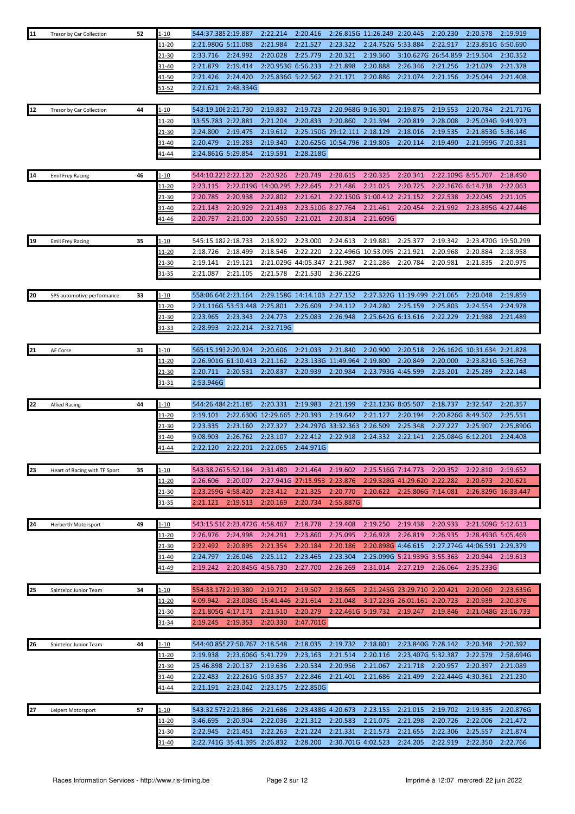| 11 | Tresor by Car Collection      | 52 | $1 - 10$          | 544:37.385 2:19.887                                   | 2:22.214                     | 2:20.416                                 |                              | 2:26.815G 11:26.249 2:20.445    |                                                             | 2:20.230            | 2:20.578                        | 2:19.919  |
|----|-------------------------------|----|-------------------|-------------------------------------------------------|------------------------------|------------------------------------------|------------------------------|---------------------------------|-------------------------------------------------------------|---------------------|---------------------------------|-----------|
|    |                               |    | 11-20             | 2:21.980G 5:11.088                                    | 2:21.984                     | 2:21.527                                 | 2:23.322                     | 2:24.752G 5:33.884              |                                                             | 2:22.917            | 2:23.851G 6:50.690              |           |
|    |                               |    | 21-30             | 2:33.716<br>2:24.992                                  | 2:20.028                     | 2:25.779                                 | 2:20.321                     | 2:19.360                        |                                                             | 3:10.627G 26:54.859 | 2:19.504                        | 2:30.352  |
|    |                               |    | 31-40             | 2:19.414<br>2:21.879                                  |                              | 2:20.953G 6:56.233                       | 2:21.898                     | 2:20.888                        | 2:26.346                                                    | 2:21.256            | 2:21.029                        | 2:21.378  |
|    |                               |    | 41-50             | 2:21.426<br>2:24.420                                  |                              | 2:25.836G 5:22.562                       | 2:21.171                     | 2:20.886                        | 2:21.074                                                    | 2:21.156            | 2:25.044                        | 2:21.408  |
|    |                               |    | $51 - 52$         | 2:21.621<br>2:48.334G                                 |                              |                                          |                              |                                 |                                                             |                     |                                 |           |
|    |                               |    |                   |                                                       |                              |                                          |                              |                                 |                                                             |                     |                                 |           |
| 12 | Tresor by Car Collection      | 44 | $1 - 10$          | 543:19.106 2:21.730                                   | 2:19.832                     | 2:19.723                                 | 2:20.968G 9:16.301           |                                 | 2:19.875                                                    | 2:19.553            | 2:20.784                        | 2:21.717G |
|    |                               |    | 11-20             | 13:55.783 2:22.881                                    | 2:21.204                     | 2:20.833                                 | 2:20.860                     | 2:21.394                        | 2:20.819                                                    | 2:28.008            | 2:25.034G 9:49.973              |           |
|    |                               |    | 21-30             | 2:24.800<br>2:19.475                                  | 2:19.612                     |                                          | 2:25.150G 29:12.111 2:18.129 |                                 | 2:18.016                                                    | 2:19.535            | 2:21.853G 5:36.146              |           |
|    |                               |    | 31-40             | 2:20.479<br>2:19.283                                  | 2:19.340                     |                                          | 2:20.625G 10:54.796 2:19.805 |                                 | 2:20.114                                                    | 2:19.490            | 2:21.999G 7:20.331              |           |
|    |                               |    | 41-44             | 2:24.861G 5:29.854                                    | 2:19.591                     | 2:28.218G                                |                              |                                 |                                                             |                     |                                 |           |
|    |                               |    |                   |                                                       |                              |                                          |                              |                                 |                                                             |                     |                                 |           |
| 14 |                               | 46 | $1 - 10$          | 544:10.2232:22.120                                    | 2:20.926                     | 2:20.749                                 | 2:20.615                     | 2:20.325                        | 2:20.341                                                    |                     | 2:22.109G 8:55.707              | 2:18.490  |
|    | <b>Emil Frey Racing</b>       |    | 11-20             | 2:23.115                                              | 2:22.019G 14:00.295 2:22.645 |                                          | 2:21.486                     | 2:21.025                        | 2:20.725                                                    | 2:22.167G 6:14.738  |                                 | 2:22.063  |
|    |                               |    |                   |                                                       |                              |                                          |                              |                                 |                                                             |                     |                                 |           |
|    |                               |    | 21-30             | 2:20.785<br>2:20.938                                  | 2:22.802                     | 2:21.621                                 |                              | 2:22.150G 31:00.412 2:21.152    |                                                             | 2:22.538            | 2:22.045                        | 2:21.105  |
|    |                               |    | $31 - 40$         | 2:21.143<br>2:20.929                                  | 2:21.493                     | 2:23.510G 8:27.764                       |                              | 2:21.461                        | 2:20.454                                                    | 2:21.992            | 2:23.895G 4:27.446              |           |
|    |                               |    | <u>41-46</u>      | 2:20.757<br>2:21.000                                  | 2:20.550                     | 2:21.021                                 | 2:20.814                     | 2:21.609G                       |                                                             |                     |                                 |           |
|    |                               |    |                   | 545:15.1822:18.733                                    | 2:18.922                     |                                          |                              |                                 |                                                             | 2:19.342            |                                 |           |
| 19 | <b>Emil Frey Racing</b>       | 35 | $1 - 10$<br>11-20 | 2:18.726<br>2:18.499                                  | 2:18.546                     | 2:23.000<br>2:22.220                     | 2:24.613                     | 2:19.881<br>2:22.496G 10:53.095 | 2:25.377<br>2:21.921                                        | 2:20.968            | 2:23.470G 19:50.299<br>2:20.884 | 2:18.958  |
|    |                               |    |                   | 2:19.121<br>2:19.141                                  |                              | 2:21.029G 44:05.347                      | 2:21.987                     | 2:21.286                        |                                                             | 2:20.981            | 2:21.835                        |           |
|    |                               |    | 21-30             | 2:21.105                                              |                              |                                          |                              |                                 | 2:20.784                                                    |                     |                                 | 2:20.975  |
|    |                               |    | 31-35             | 2:21.087                                              | 2:21.578                     | 2:21.530                                 | 2:36.222G                    |                                 |                                                             |                     |                                 |           |
| 20 |                               | 33 | $1 - 10$          | 558:06.646 2:23.164                                   |                              | 2:29.158G 14:14.103 2:27.152             |                              |                                 | 2:27.322G 11:19.499 2:21.065                                |                     | 2:20.048                        | 2:19.859  |
|    | SPS automotive performance    |    |                   |                                                       | 2:25.801                     |                                          |                              |                                 |                                                             |                     | 2:24.554                        |           |
|    |                               |    | 11-20             | 2:21.116G 53:53.448                                   |                              | 2:26.609                                 | 2:24.112                     | 2:24.280                        | 2:25.159                                                    | 2:25.803            |                                 | 2:24.978  |
|    |                               |    | $21 - 30$         | 2:23.965<br>2:23.343                                  | 2:24.773                     | 2:25.083                                 | 2:26.948                     | 2:25.642G 6:13.616              |                                                             | 2:22.229            | 2:21.988                        | 2:21.489  |
|    |                               |    | <u>31-33</u>      | 2:28.993<br>2:22.214                                  | 2:32.719G                    |                                          |                              |                                 |                                                             |                     |                                 |           |
|    |                               | 31 |                   |                                                       | 2:20.606                     | 2:21.033                                 | 2:21.840                     | 2:20.900                        | 2:20.518                                                    |                     |                                 |           |
| 21 | AF Corse                      |    | $1 - 10$          | 565:15.1932:20.924                                    |                              |                                          |                              |                                 |                                                             |                     | 2:26.162G 10:31.634 2:21.828    |           |
|    |                               |    | $11 - 20$         | 2:26.901G 61:10.413 2:21.162                          |                              |                                          | 2:23.133G 11:49.964 2:19.800 |                                 | 2:20.849                                                    | 2:20.000            | 2:23.821G 5:36.763              |           |
|    |                               |    | 21-30             | 2:20.711<br>2:20.531                                  | 2:20.837                     | 2:20.939                                 | 2:20.984                     | 2:23.793G 4:45.599              |                                                             | 2:23.201            | 2:25.289                        | 2:22.148  |
|    |                               |    | 31-31             | 2:53.946G                                             |                              |                                          |                              |                                 |                                                             |                     |                                 |           |
| 22 | <b>Allied Racing</b>          | 44 | $1 - 10$          | 544:26.4842:21.185                                    | 2:20.331                     | 2:19.983                                 | 2:21.199                     | 2:21.123G 8:05.507              |                                                             | 2:18.737            | 2:32.547                        | 2:20.357  |
|    |                               |    | 11-20             | 2:19.101                                              | 2:22.630G 12:29.665          | 2:20.393                                 | 2:19.642                     | 2:21.127                        | 2:20.194                                                    | 2:20.826G 8:49.502  |                                 | 2:25.551  |
|    |                               |    |                   | 2:23.335                                              | 2:27.327                     |                                          | 2:24.297G 33:32.363          | 2:26.509                        | 2:25.348                                                    | 2:27.227            |                                 | 2:25.890G |
|    |                               |    | 21-30             | 2:23.160                                              |                              |                                          |                              |                                 |                                                             |                     | 2:25.907                        |           |
|    |                               |    | $31 - 40$         | 2:26.762<br>9:08.903<br>2:22.201                      | 2:23.107                     | 2:22.412                                 | 2:22.918                     | 2:24.332                        | 2:22.141                                                    | 2:25.084G 6:12.201  |                                 | 2:24.408  |
|    |                               |    | <u>41-44</u>      | 2:22.120                                              | 2:22.065                     | 2:44.971G                                |                              |                                 |                                                             |                     |                                 |           |
| 23 |                               |    |                   |                                                       | 2:31.480                     |                                          |                              |                                 |                                                             |                     | 2:22.810 2:19.652               |           |
|    | Heart of Racing with TF Sport | 35 | <u>1-10</u>       | 543:38.2675:52.184<br>2:26.606<br>2:20.007            |                              | 2:21.464<br>2:27.941G 27:15.953 2:23.876 | 2:19.602                     |                                 | 2:25.516G 7:14.773 2:20.352<br>2:29.328G 41:29.620 2:22.282 |                     | 2:20.673                        | 2:20.621  |
|    |                               |    | 11-20             |                                                       |                              | 2:21.325                                 | 2:20.770                     |                                 | 2:20.622 2:25.806G 7:14.081                                 |                     | 2:26.829G 16:33.447             |           |
|    |                               |    | 21-30<br>31-35    | 2:23.259G 4:58.420<br>2:19.513<br>2:21.121            | 2:23.412<br>2:20.169         | 2:20.734                                 | 2:55.887G                    |                                 |                                                             |                     |                                 |           |
|    |                               |    |                   |                                                       |                              |                                          |                              |                                 |                                                             |                     |                                 |           |
|    |                               |    |                   |                                                       |                              |                                          |                              | 2:19.250                        | 2:19.438                                                    | 2:20.933            | 2:21.509G 5:12.613              |           |
| 24 | Herberth Motorsport           | 49 | $1 - 10$<br>11-20 | 543:15.510 2:23.472G 4:58.467<br>2:26.976<br>2:24.998 | 2:24.291                     | 2:18.778<br>2:23.860                     | 2:19.408<br>2:25.095         | 2:26.928                        | 2:26.819                                                    | 2:26.935            | 2:28.493G 5:05.469              |           |
|    |                               |    | 21-30             | 2:22.492<br>2:20.895                                  | 2:21.354                     | 2:20.184                                 | 2:20.186                     | 2:20.898G 4:46.615              |                                                             |                     | 2:27.274G 44:06.591 2:29.379    |           |
|    |                               |    | 31-40             | 2:24.797<br>2:26.046                                  | 2:25.112                     | 2:23.465                                 | 2:23.304                     |                                 | 2:25.099G 5:21.939G 3:55.363                                |                     | 2:20.944                        | 2:19.613  |
|    |                               |    |                   | 2:19.242                                              | 2:20.845G 4:56.730           | 2:27.700                                 | 2:26.269                     | 2:31.014 2:27.219               |                                                             | 2:26.064            | 2:35.233G                       |           |
|    |                               |    | <u>41-49</u>      |                                                       |                              |                                          |                              |                                 |                                                             |                     |                                 |           |
| 25 | Sainteloc Junior Team         | 34 | $1 - 10$          | 554:33.1782:19.380                                    | 2:19.712                     | 2:19.507                                 | 2:18.665                     |                                 | 2:21.245G 23:29.710 2:20.421                                |                     | 2:20.060                        | 2:23.635G |
|    |                               |    | <u> 11-20</u>     | 4:09.942                                              | 2:23.008G 15:41.446 2:21.614 |                                          | 2:21.048                     |                                 | 3:17.223G 26:01.161 2:20.723                                |                     | 2:20.939                        | 2:20.376  |
|    |                               |    | 21-30             | 2:21.805G 4:17.171                                    | 2:21.510                     | 2:20.279                                 |                              | 2:22.461G 5:19.732 2:19.247     |                                                             | 2:19.846            | 2:21.048G 23:16.733             |           |
|    |                               |    | 31-34             | 2:19.245<br>2:19.353                                  | 2:20.330                     | 2:47.701G                                |                              |                                 |                                                             |                     |                                 |           |
|    |                               |    |                   |                                                       |                              |                                          |                              |                                 |                                                             |                     |                                 |           |
| 26 | Sainteloc Junior Team         | 44 | 1-10              | 544:40.855 27:50.767 2:18.548                         |                              | 2:18.035                                 | 2:19.732                     | 2:18.801                        | 2:23.840G 7:28.142                                          |                     | 2:20.348                        | 2:20.392  |
|    |                               |    | 11-20             | 2:19.938                                              | 2:23.606G 5:41.729           | 2:23.163                                 | 2:21.514                     | 2:20.116                        | 2:23.407G 5:32.387                                          |                     | 2:22.579                        | 2:58.694G |
|    |                               |    | 21-30             | 25:46.898 2:20.137 2:19.636                           |                              | 2:20.534                                 | 2:20.956                     | 2:21.067                        | 2:21.718                                                    | 2:20.957            | 2:20.397                        | 2:21.089  |
|    |                               |    | 31-40             | 2:22.483                                              | 2:22.261G 5:03.357           | 2:22.846                                 | 2:21.401                     | 2:21.686                        | 2:21.499                                                    | 2:22.444G 4:30.361  |                                 | 2:21.230  |
|    |                               |    | 41-44             | 2:21.191<br>2:23.042                                  | 2:23.175                     | 2:22.850G                                |                              |                                 |                                                             |                     |                                 |           |
|    |                               |    |                   |                                                       |                              |                                          |                              |                                 |                                                             |                     |                                 |           |
| 27 | Leipert Motorsport            | 57 | $1 - 10$          | 543:32.5732:21.866                                    | 2:21.686                     | 2:23.438G 4:20.673                       |                              | 2:23.155                        | 2:21.015                                                    | 2:19.702            | 2:19.335                        | 2:20.876G |
|    |                               |    | <u> 11-20</u>     | 2:20.904<br>3:46.695                                  | 2:22.036                     | 2:21.312                                 | 2:20.583                     | 2:21.075                        | 2:21.298                                                    | 2:20.726            | 2:22.006                        | 2:21.472  |
|    |                               |    | <u>21-30</u>      | 2:22.945<br>2:21.451                                  | 2:22.263                     | 2:21.224                                 | 2:21.331                     | 2:21.573                        | 2:21.655                                                    | 2:22.306            | 2:25.557                        | 2:21.874  |
|    |                               |    | 31-40             | 2:22.741G 35:41.395 2:26.832                          |                              | 2:28.200                                 | 2:30.701G 4:02.523           |                                 | 2:24.205                                                    | 2:22.919            | 2:22.350                        | 2:22.766  |
|    |                               |    |                   |                                                       |                              |                                          |                              |                                 |                                                             |                     |                                 |           |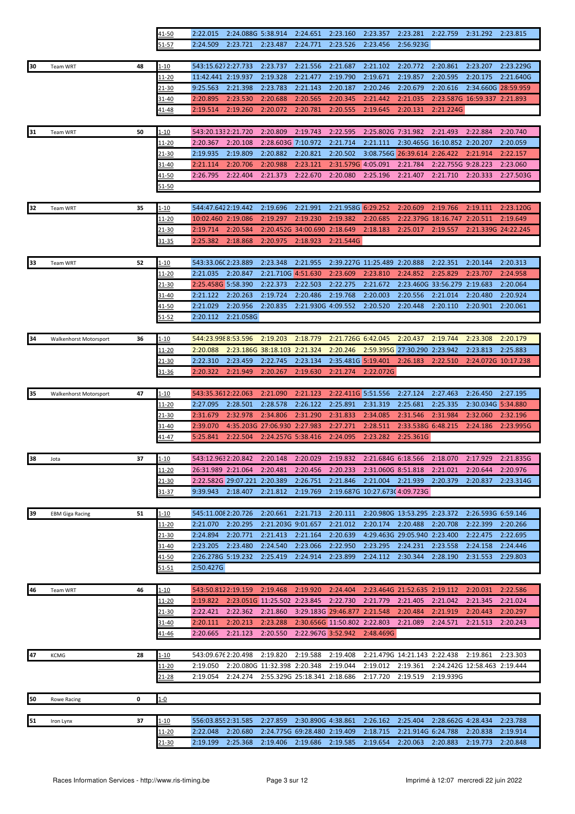|    |                        |    | 41-50                     | 2:22.015                       | 2:24.088G 5:38.914                                 |                                          | 2:24.651                              | 2:23.160                       | 2:23.357                             | 2:23.281                                 | 2:22.759                     | 2:31.292                     | 2:23.815             |
|----|------------------------|----|---------------------------|--------------------------------|----------------------------------------------------|------------------------------------------|---------------------------------------|--------------------------------|--------------------------------------|------------------------------------------|------------------------------|------------------------------|----------------------|
|    |                        |    | 51-57                     | 2:24.509                       | 2:23.721                                           | 2:23.487                                 | 2:24.771                              | 2:23.526                       | 2:23.456                             | 2:56.923G                                |                              |                              |                      |
|    |                        |    |                           |                                |                                                    |                                          |                                       |                                |                                      |                                          |                              |                              |                      |
| 30 | Team WRT               | 48 | <u>1-10</u>               | 543:15.6272:27.733             |                                                    | 2:23.737                                 | 2:21.556                              | 2:21.687                       | 2:21.102                             | 2:20.772                                 | 2:20.861                     | 2:23.207                     | 2:23.229G            |
|    |                        |    | <u> 11-20</u>             | 11:42.441 2:19.937             |                                                    | 2:19.328                                 | 2:21.477                              | 2:19.790                       | 2:19.671                             | 2:19.857                                 | 2:20.595                     | 2:20.175                     | 2:21.640G            |
|    |                        |    | 21-30                     | 9:25.563                       | 2:21.398                                           | 2:23.783                                 | 2:21.143                              | 2:20.187                       | 2:20.246                             | 2:20.679                                 | 2:20.616                     | 2:34.660G 28:59.959          |                      |
|    |                        |    | 31-40                     | 2:20.895                       | 2:23.530                                           | 2:20.688                                 | 2:20.565                              | 2:20.345                       | 2:21.442                             | 2:21.035                                 |                              | 2:23.587G 16:59.337 2:21.893 |                      |
|    |                        |    | <u>41-48</u>              | 2:19.514                       | 2:19.260                                           | 2:20.072                                 | 2:20.781                              | 2:20.555                       | 2:19.645                             | 2:20.131                                 | 2:21.224G                    |                              |                      |
|    |                        |    |                           |                                |                                                    |                                          |                                       |                                |                                      |                                          |                              |                              |                      |
| 31 | Team WRT               | 50 | 1-10                      | 543:20.1332:21.720             |                                                    | 2:20.809                                 | 2:19.743                              | 2:22.595                       | 2:25.802G 7:31.982                   |                                          | 2:21.493                     | 2:22.884                     | 2:20.740             |
|    |                        |    | 11-20                     | 2:20.367                       | 2:20.108                                           | 2:28.603G 7:10.972                       |                                       | 2:21.714                       | 2:21.111                             |                                          | 2:30.465G 16:10.852 2:20.207 |                              | 2:20.059             |
|    |                        |    | 21-30                     | 2:19.935                       | 2:19.809                                           | 2:20.882                                 | 2:20.821                              | 2:20.502                       |                                      | 3:08.756G 26:39.614 2:26.422             |                              | 2:21.914                     | 2:22.157             |
|    |                        |    | 31-40                     | 2:21.114                       | 2:20.706                                           | 2:20.988                                 | 2:23.121                              | 2:31.579G 4:05.091             |                                      | 2:21.784                                 | 2:22.755G 9:28.223           |                              | 2:23.060             |
|    |                        |    | 41-50                     | 2:26.795                       | 2:22.404                                           | 2:21.373                                 | 2:22.670                              | 2:20.080                       | 2:25.196                             | 2:21.407                                 | 2:21.710                     | 2:20.333                     | 2:27.503G            |
|    |                        |    | 51-50                     |                                |                                                    |                                          |                                       |                                |                                      |                                          |                              |                              |                      |
|    |                        |    |                           |                                |                                                    |                                          |                                       |                                |                                      |                                          |                              |                              |                      |
| 32 | Team WRT               | 35 | <u>1-10</u>               | 544:47.6422:19.442             |                                                    | 2:19.696                                 | 2:21.991                              | 2:21.958G 6:29.252             |                                      | 2:20.609                                 | 2:19.766                     | 2:19.111                     | 2:23.120G            |
|    |                        |    | $11 - 20$                 | 10:02.460 2:19.086             |                                                    | 2:19.297                                 | 2:19.230                              | 2:19.382                       | 2:20.685                             |                                          | 2:22.379G 18:16.747 2:20.511 |                              | 2:19.649             |
|    |                        |    | <u>21-30</u>              | 2:19.714                       | 2:20.584                                           |                                          | 2:20.452G 34:00.690                   | 2:18.649                       | 2:18.183                             | 2:25.017                                 | 2:19.557                     | 2:21.339G 24:22.245          |                      |
|    |                        |    | 31-35                     | 2:25.382                       | 2:18.868                                           | 2:20.975                                 | 2:18.923                              | 2:21.544G                      |                                      |                                          |                              |                              |                      |
|    |                        |    |                           |                                |                                                    |                                          |                                       |                                |                                      |                                          |                              |                              |                      |
| 33 | Team WRT               | 52 | 1-10                      | 543:33.060 2:23.889            |                                                    | 2:23.348                                 | 2:21.955                              |                                | 2:39.227G 11:25.489 2:20.888         |                                          | 2:22.351                     | 2:20.144                     | 2:20.313             |
|    |                        |    | 11-20                     | 2:21.035                       | 2:20.847                                           | 2:21.710G 4:51.630                       |                                       | 2:23.609                       | 2:23.810                             | 2:24.852                                 | 2:25.829                     | 2:23.707                     | 2:24.958             |
|    |                        |    | 21-30                     | 2:25.458G 5:58.390             |                                                    | 2:22.373                                 | 2:22.503                              | 2:22.275                       | 2:21.672                             | 2:23.460G                                | 33:56.279                    | 2:19.683                     | 2:20.064             |
|    |                        |    | 31-40                     | 2:21.122                       | 2:20.263                                           | 2:19.724                                 | 2:20.486                              | 2:19.768                       | 2:20.003                             | 2:20.556                                 | 2:21.014                     | 2:20.480                     | 2:20.924             |
|    |                        |    | 41-50                     | 2:21.029                       | 2:20.956                                           | 2:20.835                                 | 2:21.930G 4:09.552                    |                                | 2:20.520                             | 2:20.448                                 | 2:20.110                     | 2:20.901                     | 2:20.061             |
|    |                        |    | $51 - 52$                 | 2:20.112                       | 2:21.058G                                          |                                          |                                       |                                |                                      |                                          |                              |                              |                      |
|    |                        |    |                           |                                |                                                    |                                          |                                       |                                |                                      |                                          |                              |                              |                      |
| 34 | Walkenhorst Motorsport | 36 | $1 - 10$<br><u> 11-20</u> | 544:23.9988:53.596<br>2:20.088 |                                                    | 2:19.203<br>2:23.186G 38:18.103 2:21.324 | 2:18.779                              | 2:21.726G 6:42.045<br>2:20.246 |                                      | 2:20.437<br>2:59.395G 27:30.290 2:23.942 | 2:19.744                     | 2:23.308<br>2:23.813         | 2:20.179<br>2:25.883 |
|    |                        |    | $21 - 30$                 | 2:22.310                       | 2:23.459                                           | 2:22.745                                 | 2:23.134                              | 2:35.481G 5:19.401             |                                      | 2:26.183                                 | 2:22.510                     | 2:24.072G 10:17.238          |                      |
|    |                        |    | 31-36                     | 2:20.322                       | 2:21.949                                           | 2:20.267                                 | 2:19.630                              | 2:21.274                       | 2:22.072G                            |                                          |                              |                              |                      |
|    |                        |    |                           |                                |                                                    |                                          |                                       |                                |                                      |                                          |                              |                              |                      |
| 35 | Walkenhorst Motorsport | 47 | 1-10                      | 543:35.3612:22.063             |                                                    | 2:21.090                                 | 2:21.123                              | 2:22.411G 5:51.556             |                                      | 2:27.124                                 | 2:27.463                     | 2:26.450                     | 2:27.195             |
|    |                        |    | 11-20                     | 2:27.095                       | 2:28.501                                           | 2:28.578                                 | 2:26.122                              | 2:25.891                       | 2:31.319                             | 2:25.681                                 | 2:25.335                     | 2:30.034G 5:34.880           |                      |
|    |                        |    | 21-30                     | 2:31.679                       | 2:32.978                                           | 2:34.806                                 | 2:31.290                              | 2:31.833                       | 2:34.085                             | 2:31.546                                 | 2:31.984                     | 2:32.060                     | 2:32.196             |
|    |                        |    | 31-40                     | 2:39.070                       |                                                    | 4:35.203G 27:06.930 2:27.983             |                                       | 2:27.271                       | 2:28.511                             | 2:33.538G 6:48.215                       |                              | 2:24.186                     | 2:23.995G            |
|    |                        |    | <u>41-47</u>              | 5:25.841                       | 2:22.504                                           | 2:24.257G 5:38.416                       |                                       | 2:24.095                       | 2:23.282                             | 2:25.361G                                |                              |                              |                      |
|    |                        |    |                           |                                |                                                    |                                          |                                       |                                |                                      |                                          |                              |                              |                      |
| 38 | Jota                   | 37 | $1 - 10$                  | 543:12.9632:20.842             |                                                    | 2:20.148                                 | 2:20.029                              | 2:19.832                       | 2:21.684G 6:18.566                   |                                          | 2:18.070                     | 2:17.929                     | 2:21.835G            |
|    |                        |    | <u> 11-20</u>             |                                | 26:31.989 2:21.064 2:20.481                        |                                          | 2:20.456                              |                                | 2:20.233 2:31.060G 8:51.818 2:21.021 |                                          |                              | 2:20.644                     | 2:20.976             |
|    |                        |    | <u>21-30</u>              |                                | 2:22.582G 29:07.221 2:20.389                       |                                          | 2:26.751                              | 2:21.846                       | 2:21.004                             | 2:21.939                                 | 2:20.379                     | 2:20.837                     | 2:23.314G            |
|    |                        |    | 31-37                     | 9:39.943                       | 2:18.407                                           | 2:21.812                                 | 2:19.769                              |                                | 2:19.687G 10:27.673(4:09.723G        |                                          |                              |                              |                      |
|    |                        |    |                           |                                |                                                    |                                          |                                       |                                |                                      |                                          |                              |                              |                      |
| 39 | <b>EBM Giga Racing</b> | 51 | <u>1-10</u>               | 545:11.008 2:20.726            |                                                    | 2:20.661                                 | 2:21.713                              | 2:20.111                       |                                      | 2:20.980G 13:53.295 2:23.372             |                              | 2:26.593G 6:59.146           |                      |
|    |                        |    | 11-20                     | 2:21.070                       | 2:20.295                                           | 2:21.203G 9:01.657                       |                                       | 2:21.012                       | 2:20.174                             | 2:20.488                                 | 2:20.708                     | 2:22.399                     | 2:20.266             |
|    |                        |    | 21-30                     | 2:24.894                       | 2:20.771                                           | 2:21.413                                 | 2:21.164                              | 2:20.639                       |                                      | 4:29.463G 29:05.940 2:23.400             |                              | 2:22.475                     | 2:22.695             |
|    |                        |    | 31-40                     | 2:23.205                       | 2:23.480                                           | 2:24.540                                 | 2:23.066                              | 2:22.950                       | 2:23.295                             | 2:24.231                                 | 2:23.558                     | 2:24.158                     | 2:24.446             |
|    |                        |    | 41-50                     | 2:26.278G 5:19.232             |                                                    | 2:25.419                                 | 2:24.914                              | 2:23.899                       | 2:24.112                             | 2:30.344                                 | 2:28.190                     | 2:31.553                     | 2:29.803             |
|    |                        |    | $51 - 51$                 | 2:50.427G                      |                                                    |                                          |                                       |                                |                                      |                                          |                              |                              |                      |
|    |                        |    |                           |                                |                                                    |                                          |                                       |                                |                                      |                                          |                              |                              |                      |
| 46 | Team WRT               | 46 | $1 - 10$                  |                                | 543:50.8122:19.159<br>2:23.051G 11:25.502 2:23.845 | 2:19.468                                 | 2:19.920                              | 2:24.404<br>2:22.730           | 2:21.779                             | 2:23.464G 21:52.635 2:19.112<br>2:21.405 | 2:21.042                     | 2:20.031<br>2:21.345         | 2:22.586<br>2:21.024 |
|    |                        |    | $11 - 20$<br>21-30        | 2:19.822<br>2:22.421           | 2:22.362                                           | 2:21.860                                 |                                       | 3:29.183G 29:46.877 2:21.548   |                                      | 2:20.484                                 | 2:21.919                     | 2:20.443                     | 2:20.297             |
|    |                        |    | 31-40                     | 2:20.111                       | 2:20.213                                           | 2:23.288                                 |                                       | 2:30.656G 11:50.802 2:22.803   |                                      | 2:21.089                                 | 2:24.571                     | 2:21.513                     | 2:20.243             |
|    |                        |    | 41-46                     | 2:20.665                       | 2:21.123                                           | 2:20.550                                 | 2:22.967G 3:52.942                    |                                | 2:48.469G                            |                                          |                              |                              |                      |
|    |                        |    |                           |                                |                                                    |                                          |                                       |                                |                                      |                                          |                              |                              |                      |
| 47 | <b>KCMG</b>            | 28 | $1 - 10$                  | 543:09.676 2:20.498            |                                                    | 2:19.820                                 | 2:19.588                              | 2:19.408                       |                                      | 2:21.479G 14:21.143 2:22.438             |                              | 2:19.861                     | 2:23.303             |
|    |                        |    | 11-20                     | 2:19.050                       |                                                    | 2:20.080G 11:32.398 2:20.348             |                                       | 2:19.044                       | 2:19.012                             | 2:19.361                                 |                              | 2:24.242G 12:58.463 2:19.444 |                      |
|    |                        |    | 21-28                     | 2:19.054                       |                                                    |                                          | 2:24.274 2:55.329G 25:18.341 2:18.686 |                                | 2:17.720                             | 2:19.519                                 | 2:19.939G                    |                              |                      |
|    |                        |    |                           |                                |                                                    |                                          |                                       |                                |                                      |                                          |                              |                              |                      |
| 50 | <b>Rowe Racing</b>     | 0  | $1 - 0$                   |                                |                                                    |                                          |                                       |                                |                                      |                                          |                              |                              |                      |
|    |                        |    |                           |                                |                                                    |                                          |                                       |                                |                                      |                                          |                              |                              |                      |
| 51 | Iron Lynx              | 37 | <u>1-10</u>               | 556:03.8552:31.585             |                                                    | 2:27.859                                 | 2:30.890G 4:38.861                    |                                | 2:26.162                             | 2:25.404                                 | 2:28.662G 4:28.434           |                              | 2:23.788             |
|    |                        |    | <u> 11-20</u>             | 2:22.048                       | 2:20.680                                           |                                          | 2:24.775G 69:28.480 2:19.409          |                                | 2:18.715                             | 2:21.914G 6:24.788                       |                              | 2:20.838                     | 2:19.914             |
|    |                        |    | 21-30                     | 2:19.199                       | 2:25.368                                           | 2:19.406                                 | 2:19.686                              | 2:19.585                       | 2:19.654                             | 2:20.063                                 | 2:20.883                     | 2:19.773                     | 2:20.848             |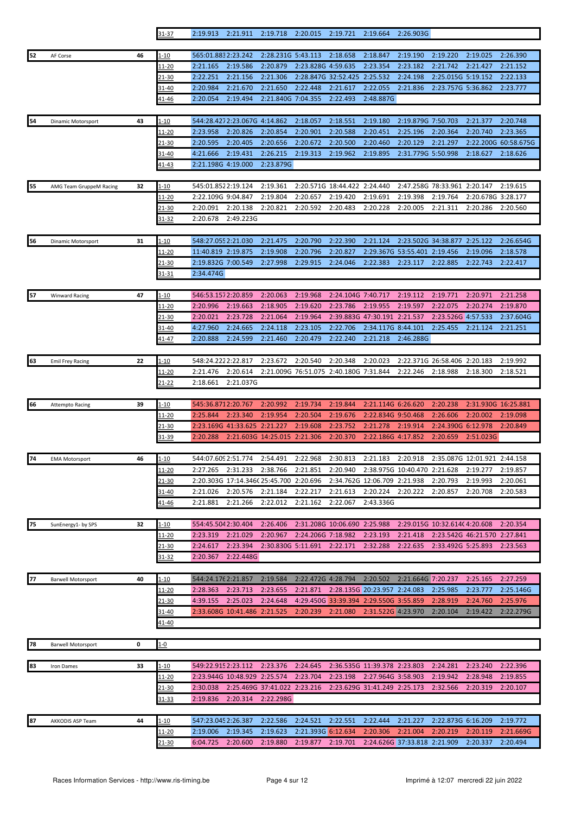|    |                           |    | $31 - 37$      | 2:19.913                                  | 2:21.911                     | 2:19.718                       | 2:20.015             | 2:19.721                     | 2:19.664                               | 2:26.903G                    |                              |                              |                       |
|----|---------------------------|----|----------------|-------------------------------------------|------------------------------|--------------------------------|----------------------|------------------------------|----------------------------------------|------------------------------|------------------------------|------------------------------|-----------------------|
|    |                           | 46 | $1 - 10$       | 565:01.8832:23.242                        |                              | 2:28.231G 5:43.113             |                      | 2:18.658                     | 2:18.847                               | 2:19.190                     | 2:19.220                     | 2:19.025                     | 2:26.390              |
| 52 | AF Corse                  |    | 11-20          | 2:21.165                                  | 2:19.586                     | 2:20.879                       | 2:23.828G 4:59.635   |                              | 2:23.354                               | 2:23.182                     | 2:21.742                     | 2:21.427                     | 2:21.152              |
|    |                           |    | 21-30          | 2:22.251                                  | 2:21.156                     | 2:21.306                       |                      | 2:28.847G 32:52.425          | 2:25.532                               | 2:24.198                     | 2:25.015G 5:19.152           |                              | 2:22.133              |
|    |                           |    | $31 - 40$      | 2:20.984                                  | 2:21.670                     | 2:21.650                       | 2:22.448             | 2:21.617                     | 2:22.055                               | 2:21.836                     | 2:23.757G 5:36.862           |                              | 2:23.777              |
|    |                           |    | <u>41-46</u>   | 2:20.054                                  | 2:19.494                     | 2:21.840G 7:04.355             |                      | 2:22.493                     | 2:48.887G                              |                              |                              |                              |                       |
|    |                           |    |                |                                           |                              |                                |                      |                              |                                        |                              |                              |                              |                       |
| 54 | Dinamic Motorsport        | 43 | 1-10           |                                           | 544:28.4272:23.067G 4:14.862 |                                | 2:18.057             | 2:18.551                     | 2:19.180                               | 2:19.879G 7:50.703           |                              | 2:21.377                     | 2:20.748              |
|    |                           |    | 11-20          | 2:23.958                                  | 2:20.826                     | 2:20.854                       | 2:20.901             | 2:20.588                     | 2:20.451                               | 2:25.196                     | 2:20.364                     | 2:20.740                     | 2:23.365              |
|    |                           |    | 21-30          | 2:20.595                                  | 2:20.405                     | 2:20.656                       | 2:20.672             | 2:20.500                     | 2:20.460                               | 2:20.129                     | 2:21.297                     |                              | 2:22.200G 60:58.675G  |
|    |                           |    | 31-40<br>41-43 | 4:21.666<br>2:21.198G 4:19.000            | 2:19.431                     | 2:26.215<br>2:23.879G          | 2:19.313             | 2:19.962                     | 2:19.895                               | 2:31.779G 5:50.998           |                              | 2:18.627                     | 2:18.626              |
|    |                           |    |                |                                           |                              |                                |                      |                              |                                        |                              |                              |                              |                       |
| 55 | AMG Team GruppeM Racing   | 32 | $1 - 10$       | 545:01.8522:19.124                        |                              | 2:19.361                       |                      | 2:20.571G 18:44.422          | 2:24.440                               |                              | 2:47.258G 78:33.961          | 2:20.147                     | 2:19.615              |
|    |                           |    | 11-20          | 2:22.109G 9:04.847                        |                              | 2:19.804                       | 2:20.657             | 2:19.420                     | 2:19.691                               | 2:19.398                     | 2:19.764                     | 2:20.678G 3:28.177           |                       |
|    |                           |    | <u>21-30</u>   | 2:20.091                                  | 2:20.138                     | 2:20.821                       | 2:20.592             | 2:20.483                     | 2:20.228                               | 2:20.005                     | 2:21.311                     | 2:20.286                     | 2:20.560              |
|    |                           |    | 31-32          | 2:20.678                                  | 2:49.223G                    |                                |                      |                              |                                        |                              |                              |                              |                       |
|    |                           |    |                |                                           |                              |                                |                      |                              |                                        |                              |                              |                              |                       |
| 56 | Dinamic Motorsport        | 31 | $1 - 10$       | 548:27.055 2:21.030<br>11:40.819 2:19.875 |                              | 2:21.475                       | 2:20.790             | 2:22.390                     | 2:21.124                               | 2:29.367G 53:55.401 2:19.456 | 2:23.502G 34:38.877          | 2:25.122<br>2:19.096         | 2:26.654G             |
|    |                           |    | 11-20<br>21-30 | 2:19.832G 7:00.549                        |                              | 2:19.908<br>2:27.998           | 2:20.796<br>2:29.915 | 2:20.827<br>2:24.046         | 2:22.383                               | 2:23.117                     | 2:22.885                     | 2:22.743                     | 2:18.578<br>2:22.417  |
|    |                           |    | <u>31-31</u>   | 2:34.474G                                 |                              |                                |                      |                              |                                        |                              |                              |                              |                       |
|    |                           |    |                |                                           |                              |                                |                      |                              |                                        |                              |                              |                              |                       |
| 57 | <b>Winward Racing</b>     | 47 | <u>1-10</u>    | 546:53.1572:20.859                        |                              | 2:20.063                       | 2:19.968             | 2:24.104G 7:40.717           |                                        | 2:19.112                     | 2:19.771                     | 2:20.971                     | 2:21.258              |
|    |                           |    | 11-20          | 2:20.996                                  | 2:19.663                     | 2:18.905                       | 2:19.620             | 2:23.786                     | 2:19.955                               | 2:19.597                     | 2:22.075                     | 2:20.274                     | 2:19.870              |
|    |                           |    | <u>21-30</u>   | 2:20.021                                  | 2:23.728                     | 2:21.064                       | 2:19.964             |                              | 2:39.883G 47:30.191 2:21.537           |                              | 2:23.526G 4:57.533           |                              | 2:37.604G             |
|    |                           |    | 31-40          | 4:27.960                                  | 2:24.665                     | 2:24.118                       | 2:23.105             | 2:22.706                     | 2:34.117G 8:44.101                     |                              | 2:25.455                     | 2:21.124                     | 2:21.251              |
|    |                           |    | $11 - 47$      | 2:20.888                                  | 2:24.599                     | 2:21.460                       | 2:20.479             | 2:22.240                     | 2:21.218                               | 2:46.288G                    |                              |                              |                       |
| 63 | <b>Emil Frey Racing</b>   | 22 | $1 - 10$       | 548:24.2222:22.817                        |                              | 2:23.672                       | 2:20.540             | 2:20.348                     | 2:20.023                               |                              | 2:22.371G 26:58.406 2:20.183 |                              | 2:19.992              |
|    |                           |    | 11-20          | 2:21.476                                  | 2:20.614                     |                                | 2:21.009G 76:51.075  | 2:40.180G 7:31.844           |                                        | 2:22.246                     | 2:18.988                     | 2:18.300                     | 2:18.521              |
|    |                           |    | 21-22          | 2:18.661                                  | 2:21.037G                    |                                |                      |                              |                                        |                              |                              |                              |                       |
|    |                           |    |                |                                           |                              |                                |                      |                              |                                        |                              |                              |                              |                       |
| 66 | <b>Attempto Racing</b>    | 39 | $1 - 10$       | 545:36.8712:20.767                        |                              | 2:20.992                       | 2:19.734             | 2:19.844                     | 2:21.114G 6:26.620                     |                              | 2:20.238                     | 2:31.930G 16:25.881          |                       |
|    |                           |    | 11-20          | 2:25.844                                  | 2:23.340                     | 2:19.954                       | 2:20.504             | 2:19.676                     | 2:22.834G 9:50.468                     |                              | 2:26.606                     | 2:20.002                     | 2:19.098              |
|    |                           |    | 21-30          |                                           | 2:23.169G 41:33.625 2:21.227 |                                | 2:19.608             | 2:23.752                     | 2:21.278                               | 2:19.914                     | 2:24.390G 6:12.978           |                              | 2:20.849              |
|    |                           |    | 31-39          | 2:20.288                                  |                              | 2:21.603G 14:25.015 2:21.306   |                      | 2:20.370                     | 2:22.186G 4:17.852                     |                              | 2:20.659                     | 2:51.023G                    |                       |
| 74 | <b>EMA Motorsport</b>     | 46 | $1 - 10$       | 544:07.609 2:51.774                       |                              | 2:54.491                       | 2:22.968             | 2:30.813                     | 2:21.183                               | 2:20.918                     |                              | 2:35.087G 12:01.921 2:44.158 |                       |
|    |                           |    | <u> 11-20</u>  | 2:27.265                                  | 2:31.233 2:38.766            |                                | 2:21.851             | 2:20.940                     | 2:38.975G 10:40.470 2:21.628           |                              |                              | 2:19.277                     | 2:19.857              |
|    |                           |    | <u>21-30</u>   |                                           |                              | 2:20.303G 17:14.346C 25:45.700 | 2:20.696             |                              | 2:34.762G 12:06.709 2:21.938           |                              | 2:20.793                     | 2:19.993                     | 2:20.061              |
|    |                           |    | 31-40          | 2:21.026                                  | 2:20.576                     | 2:21.184                       | 2:22.217             | 2:21.613                     | 2:20.224                               | 2:20.222                     | 2:20.857                     | 2:20.708                     | 2:20.583              |
|    |                           |    | <u>41-46</u>   | 2:21.881                                  | 2:21.266                     | 2:22.012                       | 2:21.162             | 2:22.067                     | 2:43.336G                              |                              |                              |                              |                       |
| 75 |                           | 32 | 1-10           | 554:45.5042:30.404                        |                              | 2:26.406                       |                      | 2:31.208G 10:06.690 2:25.988 |                                        |                              | 2:29.015G 10:32.614(4:20.608 |                              | 2:20.354              |
|    | SunEnergy1- by SPS        |    | 11-20          | 2:23.319                                  | 2:21.029                     | 2:20.967                       | 2:24.206G 7:18.982   |                              | 2:23.193                               | 2:21.418                     |                              | 2:23.542G 46:21.570 2:27.841 |                       |
|    |                           |    | 21-30          | 2:24.617                                  | 2:23.394                     | 2:30.830G 5:11.691             |                      | 2:22.171                     | 2:32.288                               | 2:22.635                     | 2:33.492G 5:25.893           |                              | 2:23.563              |
|    |                           |    | 31-32          | 2:20.367                                  | 2:22.448G                    |                                |                      |                              |                                        |                              |                              |                              |                       |
|    |                           |    |                |                                           |                              |                                |                      |                              |                                        |                              |                              |                              |                       |
| 77 | <b>Barwell Motorsport</b> | 40 | <u>1-10</u>    | 544:24.176 2:21.857                       |                              | 2:19.584                       | 2:22.472G 4:28.794   |                              | 2:20.502                               | 2:21.664G 7:20.237           |                              | 2:25.165                     | 2:27.259              |
|    |                           |    | <u> 11-20</u>  | 2:28.363                                  | 2:23.713                     | 2:23.655                       |                      |                              | 2:21.871 2:28.135G 20:23.957 2:24.083  |                              | 2:25.985                     | 2:23.777                     | 2:25.146G             |
|    |                           |    | <u>21-30</u>   | 4:39.155                                  | 2:25.023                     | 2:24.648                       |                      |                              | 4:29.450G 33:39.394 2:29.550G 3:55.859 |                              | 2:28.919<br>2:20.104         | 2:24.760<br>2:19.422         | 2:25.976<br>2:22.279G |
|    |                           |    | 31-40<br>41-40 |                                           | 2:33.608G 10:41.486 2:21.525 |                                | 2:20.239             | 2:21.080                     | 2:31.522G 4:23.970                     |                              |                              |                              |                       |
|    |                           |    |                |                                           |                              |                                |                      |                              |                                        |                              |                              |                              |                       |
| 78 | <b>Barwell Motorsport</b> | 0  | $1 - 0$        |                                           |                              |                                |                      |                              |                                        |                              |                              |                              |                       |
|    |                           |    |                |                                           |                              |                                |                      |                              |                                        |                              |                              |                              |                       |
| 83 | Iron Dames                | 33 | l-10           |                                           | 549:22.915 2:23.112 2:23.376 |                                | 2:24.645             |                              | 2:36.535G 11:39.378 2:23.803           |                              | 2:24.281                     | 2:23.240                     | 2:22.396              |
|    |                           |    | 11-20          |                                           | 2:23.944G 10:48.929 2:25.574 |                                | 2:23.704             |                              | 2:23.198 2:27.964G 3:58.903            |                              | 2:19.942                     | 2:28.948                     | 2:19.855              |
|    |                           |    | <u>21-30</u>   | 2:30.038                                  |                              | 2:25.469G 37:41.022 2:23.216   |                      |                              | 2:23.629G 31:41.249 2:25.173           |                              | 2:32.566                     | 2:20.319                     | 2:20.107              |
|    |                           |    | 31-33          | 2:19.836                                  | 2:20.314                     | 2:22.298G                      |                      |                              |                                        |                              |                              |                              |                       |
| 87 | AKKODIS ASP Team          | 44 | <u>1-10</u>    | 547:23.045 2:26.387                       |                              | 2:22.586                       | 2:24.521             | 2:22.551                     | 2:22.444                               | 2:21.227                     | 2:22.873G 6:16.209           |                              | 2:19.772              |
|    |                           |    | <u> 11-20</u>  | 2:19.006                                  | 2:19.345                     | 2:19.623                       | 2:21.393G 6:12.634   |                              | 2:20.306                               | 2:21.004                     | 2:20.219                     | 2:20.119                     | 2:21.669G             |
|    |                           |    | <u>21-30</u>   | 6:04.725                                  | 2:20.600                     | 2:19.880                       | 2:19.877             | 2:19.701                     |                                        | 2:24.626G 37:33.818 2:21.909 |                              | 2:20.337                     | 2:20.494              |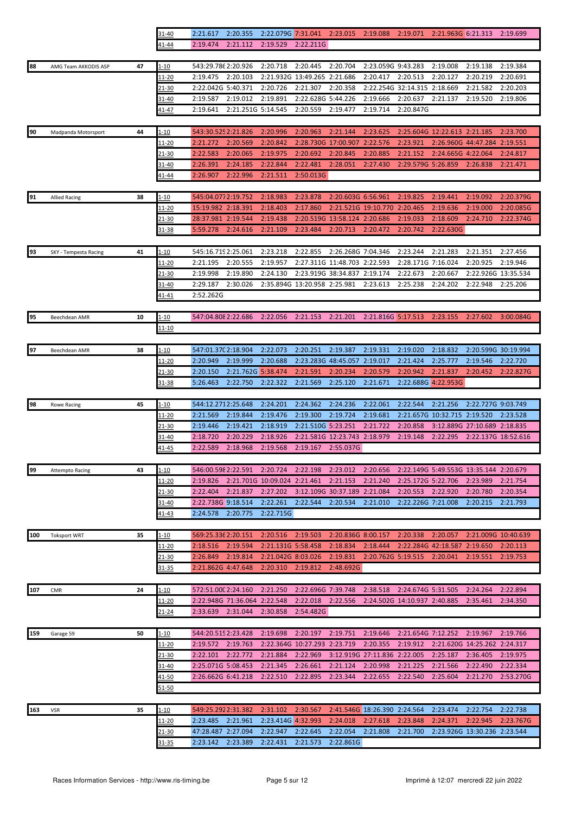|     |                        |    | <u>31-40</u>   | 2:21.61/                                 | 2:20.355                     | 2:22.079G 7:31.041 |                                       | 2:23.015                     | 2:19.088                     | 2:19.071                      | 2:21.963G 6:21.313           |                                        | 2:19.699              |
|-----|------------------------|----|----------------|------------------------------------------|------------------------------|--------------------|---------------------------------------|------------------------------|------------------------------|-------------------------------|------------------------------|----------------------------------------|-----------------------|
|     |                        |    | 41-44          | 2:19.474                                 | 2:21.112                     | 2:19.529           | 2:22.211G                             |                              |                              |                               |                              |                                        |                       |
|     |                        |    |                |                                          |                              |                    |                                       |                              |                              |                               |                              |                                        |                       |
| 88  | AMG Team AKKODIS ASP   | 47 | 1-10           | 543:29.786 2:20.926                      |                              | 2:20.718           | 2:20.445                              | 2:20.704                     | 2:23.059G 9:43.283           |                               | 2:19.008                     | 2:19.138                               | 2:19.384              |
|     |                        |    | 11-20          | 2:19.475                                 | 2:20.103                     |                    | 2:21.932G 13:49.265 2:21.686          |                              | 2:20.417                     | 2:20.513                      | 2:20.127                     | 2:20.219                               | 2:20.691              |
|     |                        |    | <u>21-30</u>   | 2:22.042G 5:40.371                       |                              | 2:20.726           | 2:21.307                              | 2:20.358                     |                              | 2:22.254G 32:14.315           | 2:18.669                     | 2:21.582                               | 2:20.203              |
|     |                        |    | 31-40          | 2:19.587                                 | 2:19.012                     | 2:19.891           | 2:22.628G 5:44.226                    |                              | 2:19.666                     | 2:20.637                      | 2:21.137                     | 2:19.520                               | 2:19.806              |
|     |                        |    | <u>41-47</u>   | 2:19.641                                 | 2:21.251G 5:14.545           |                    | 2:20.559                              | 2:19.477                     | 2:19.714                     | 2:20.847G                     |                              |                                        |                       |
| 90  |                        | 44 |                | 543:30.525 2:21.826                      |                              | 2:20.996           | 2:20.963                              | 2:21.144                     | 2:23.625                     |                               | 2:25.604G 12:22.613 2:21.185 |                                        | 2:23.700              |
|     | Madpanda Motorsport    |    | 1-10<br>11-20  | 2:21.272                                 | 2:20.569                     | 2:20.842           |                                       | 2:28.730G 17:00.907          | 2:22.576                     | 2:23.921                      |                              | 2:26.960G 44:47.284 2:19.551           |                       |
|     |                        |    | 21-30          | 2:22.583                                 | 2:20.065                     | 2:19.975           | 2:20.692                              | 2:20.845                     | 2:20.885                     | 2:21.152                      | 2:24.665G 4:22.064           |                                        | 2:24.817              |
|     |                        |    | $31 - 40$      | 2:26.391                                 | 2:24.185                     | 2:22.844           | 2:22.481                              | 2:28.051                     | 2:27.430                     | 2:29.579G 5:26.859            |                              | 2:26.838                               | 2:21.471              |
|     |                        |    | 41-44          | 2:26.907                                 | 2:22.996                     | 2:21.511           | 2:50.013G                             |                              |                              |                               |                              |                                        |                       |
|     |                        |    |                |                                          |                              |                    |                                       |                              |                              |                               |                              |                                        |                       |
| 91  | <b>Allied Racing</b>   | 38 | $1 - 10$       | 545:04.0772:19.752                       |                              | 2:18.983           | 2:23.878                              | 2:20.603G 6:56.961           |                              | 2:19.825                      | 2:19.441                     | 2:19.092                               | 2:20.379G             |
|     |                        |    | 11-20          | 15:19.982 2:18.391                       |                              | 2:18.403           | 2:17.860                              |                              | 2:21.521G 19:10.770 2:20.465 |                               | 2:19.636                     | 2:19.000                               | 2:20.085G             |
|     |                        |    | <u>21-30</u>   | 28:37.981 2:19.544                       |                              | 2:19.438           |                                       | 2:20.519G 13:58.124 2:20.686 |                              | 2:19.033                      | 2:18.609                     | 2:24.710                               | 2:22.374G             |
|     |                        |    | 31-38          | 5:59.278                                 | 2:24.616                     | 2:21.109           | 2:23.484                              | 2:20.713                     | 2:20.472                     | 2:20.742                      | 2:22.630G                    |                                        |                       |
|     |                        |    |                |                                          |                              |                    |                                       |                              |                              |                               |                              |                                        |                       |
| 93  | SKY - Tempesta Racing  | 41 | 1-10           | 545:16.719 2:25.061                      |                              | 2:23.218           | 2:22.855                              | 2:26.268G 7:04.346           |                              | 2:23.244                      | 2:21.283                     | 2:21.351                               | 2:27.456              |
|     |                        |    | 11-20          | 2:21.195                                 | 2:20.555                     | 2:19.957           |                                       | 2:27.311G 11:48.703 2:22.593 |                              | 2:28.171G                     | 7:16.024                     | 2:20.925                               | 2:19.946              |
|     |                        |    | 21-30          | 2:19.998                                 | 2:19.890                     | 2:24.130           |                                       | 2:23.919G 38:34.837          | 2:19.174                     | 2:22.673                      | 2:20.667                     | 2:22.926G 13:35.534                    |                       |
|     |                        |    | 31-40          | 2:29.187                                 | 2:30.026                     |                    | 2:35.894G 13:20.958 2:25.981          |                              | 2:23.613                     | 2:25.238                      | 2:24.202                     | 2:22.948                               | 2:25.206              |
|     |                        |    | 41-41          | 2:52.262G                                |                              |                    |                                       |                              |                              |                               |                              |                                        |                       |
|     |                        |    |                |                                          |                              |                    |                                       |                              |                              |                               |                              |                                        |                       |
| 95  | Beechdean AMR          | 10 | <u>1-10</u>    | 547:04.808 2:22.686                      |                              | 2:22.056           | 2:21.153                              | 2:21.201                     | 2:21.816G 5:17.513           |                               | 2:23.155                     | 2:27.602                               | 3:00.084G             |
|     |                        |    | <u> 11-10</u>  |                                          |                              |                    |                                       |                              |                              |                               |                              |                                        |                       |
| 97  | Beechdean AMR          | 38 | $1 - 10$       | 547:01.370 2:18.904                      |                              | 2:22.073           | 2:20.251                              | 2:19.387                     | 2:19.331                     | 2:19.020                      | 2:18.832                     | 2:20.599G 30:19.994                    |                       |
|     |                        |    | <u> 11-20</u>  | 2:20.949                                 | 2:19.999                     | 2:20.688           |                                       | 2:23.283G 48:45.057          | 2:19.017                     | 2:21.424                      | 2:25.777                     | 2:19.546                               | 2:22.720              |
|     |                        |    | 21-30          | 2:20.150                                 | 2:21.762G 5:38.474           |                    | 2:21.591                              | 2:20.234                     | 2:20.579                     | 2:20.942                      | 2:21.837                     | 2:20.452                               | 2:22.827G             |
|     |                        |    | 31-38          | 5:26.463                                 | 2:22.750                     | 2:22.322           | 2:21.569                              | 2:25.120                     | 2:21.671                     |                               | 2:22.688G 4:22.953G          |                                        |                       |
|     |                        |    |                |                                          |                              |                    |                                       |                              |                              |                               |                              |                                        |                       |
| 98  | Rowe Racing            | 45 | 1-10           | 544:12.2712:25.648                       |                              | 2:24.201           | 2:24.362                              | 2:24.236                     | 2:22.061                     | 2:22.544                      | 2:21.256                     | 2:22.727G 9:03.749                     |                       |
|     |                        |    | 11-20          | 2:21.569                                 | 2:19.844                     | 2:19.476           | 2:19.300                              | 2:19.724                     | 2:19.681                     |                               | 2:21.657G 10:32.715 2:19.520 |                                        | 2:23.528              |
|     |                        |    | 21-30          | 2:19.446                                 | 2:19.421                     | 2:18.919           | 2:21.510G 5:23.251                    |                              | 2:21.722                     | 2:20.858                      |                              | 3:12.889G 27:10.689 2:18.835           |                       |
|     |                        |    | 31-40          | 2:18.720                                 | 2:20.229                     | 2:18.926           |                                       | 2:21.581G 12:23.743 2:18.979 |                              | 2:19.148                      | 2:22.295                     | 2:22.137G 18:52.616                    |                       |
|     |                        |    | <u>41-45</u>   | 2:22.589                                 | 2:18.968                     | 2:19.568           | 2:19.167                              | 2:55.037G                    |                              |                               |                              |                                        |                       |
|     |                        |    |                |                                          |                              |                    |                                       |                              |                              |                               |                              |                                        |                       |
| 99  | <b>Attempto Racing</b> | 43 | <u>1-10</u>    | 546:00.598 2:22.591                      |                              | 2:20.724 2:22.198  |                                       | 2:23.012                     | 2:20.656                     |                               |                              | 2:22.149G 5:49.553G 13:35.144 2:20.679 |                       |
|     |                        |    | <u> 11-20</u>  | 2:19.826                                 | 2:21.701G 10:09.024 2:21.461 |                    |                                       | 2:21.153                     | 2:21.240                     | 2:25.172G 5:22.706            |                              | 2:23.989                               | 2:21.754              |
|     |                        |    | 21-30          | 2:22.404<br>2:22.738G 9:18.514           | 2:21.837                     | 2:22.261           | 2:27.202 3:12.109G 30:37.189 2:21.084 |                              |                              | 2:20.553 2:22.920             |                              | 2:20.780<br>2:20.215                   | 2:20.354              |
|     |                        |    | 31-40<br>41-43 | 2:24.578                                 | 2:20.775                     | 2:22.715G          | 2:22.544 2:20.534                     |                              | 2:21.010                     | 2:22.226G 7:21.008            |                              |                                        | 2:21.793              |
|     |                        |    |                |                                          |                              |                    |                                       |                              |                              |                               |                              |                                        |                       |
| 100 | <b>Toksport WRT</b>    | 35 | $1 - 10$       | 569:25.336 2:20.151                      |                              | 2:20.516           | 2:19.503                              | 2:20.836G 8:00.157           |                              | 2:20.338                      | 2:20.057                     | 2:21.009G 10:40.639                    |                       |
|     |                        |    | 11-20          | 2:18.516                                 | 2:19.594                     | 2:21.131G 5:58.458 |                                       | 2:18.834                     | 2:18.444                     | 2:22.284G 42:18.587 2:19.650  |                              |                                        | 2:20.113              |
|     |                        |    | 21-30          | 2:26.849                                 | 2:19.814                     | 2:21.042G 8:03.026 |                                       | 2:19.831                     |                              | 2:20.762G 5:19.515 2:20.041   |                              | 2:19.551                               | 2:19.753              |
|     |                        |    | 31-35          | 2:21.862G 4:47.648                       |                              | 2:20.310 2:19.812  |                                       | 2:48.692G                    |                              |                               |                              |                                        |                       |
|     |                        |    |                |                                          |                              |                    |                                       |                              |                              |                               |                              |                                        |                       |
| 107 | CMR                    | 24 | <u>1-10</u>    | 572:51.000 2:24.160                      |                              | 2:21.250           | 2:22.696G 7:39.748                    |                              |                              | 2:38.518  2:24.674G  5:31.505 |                              | 2:24.264                               | 2:22.894              |
|     |                        |    | <u> 11-20</u>  |                                          | 2:22.948G 71:36.064 2:22.548 |                    | 2:22.018 2:22.556                     |                              |                              | 2:24.502G 14:10.937 2:40.885  |                              | 2:35.461                               | 2:34.350              |
|     |                        |    | 21-24          | 2:33.639 2:31.044                        |                              | 2:30.858           | 2:54.482G                             |                              |                              |                               |                              |                                        |                       |
|     |                        |    |                |                                          |                              |                    |                                       |                              |                              |                               |                              |                                        |                       |
| 159 | Garage 59              | 50 | 1-10           | 544:20.5152:23.428                       |                              | 2:19.698           | 2:20.197                              | 2:19.751                     | 2:19.646                     | 2:21.654G 7:12.252            |                              | 2:19.967                               | 2:19.766              |
|     |                        |    | 11-20          | 2:19.572                                 | 2:19.763                     |                    | 2:22.364G 10:27.293 2:23.719          |                              | 2:20.355                     | 2:19.912                      |                              | 2:21.620G 14:25.262 2:24.317           |                       |
|     |                        |    | 21-30          | 2:22.101 2:22.772                        |                              | 2:21.884           | 2:22.969                              |                              | 3:12.919G 27:11.836 2:22.005 |                               | 2:25.187                     | 2:36.405                               | 2:19.975              |
|     |                        |    | 31-40          | 2:25.071G 5:08.453<br>2:26.662G 6:41.218 |                              | 2:21.345           | 2:26.661                              | 2:21.124                     | 2:20.998                     | 2:21.225<br>2:22.540          | 2:21.566                     | 2:22.490                               | 2:22.334<br>2:53.270G |
|     |                        |    | 41-50<br>51-50 |                                          |                              | 2:22.510           | 2:22.895                              | 2:23.344                     | 2:22.655                     |                               | 2:25.604                     | 2:21.270                               |                       |
|     |                        |    |                |                                          |                              |                    |                                       |                              |                              |                               |                              |                                        |                       |
| 163 | VSR                    | 35 | $1 - 10$       | 549:25.2922:31.382                       |                              | 2:31.102           | 2:30.567                              |                              | 2:41.546G 18:26.390 2:24.564 |                               | 2:23.474                     | 2:22.754                               | 2:22.738              |
|     |                        |    | <u> 11-20</u>  | 2:23.485                                 | 2:21.961                     | 2:23.414G 4:32.993 |                                       | 2:24.018                     | 2:27.618                     | 2:23.848                      | 2:24.371                     | 2:22.945                               | 2:23.767G             |
|     |                        |    | 21-30          | 47:28.487 2:27.094                       |                              | 2:22.947           | 2:22.645                              | 2:22.054                     | 2:21.808                     | 2:21.700                      |                              | 2:23.926G 13:30.236 2:23.544           |                       |
|     |                        |    | 31-35          | 2:23.142 2:23.389                        |                              | 2:22.431           | 2:21.573                              | 2:22.861G                    |                              |                               |                              |                                        |                       |
|     |                        |    |                |                                          |                              |                    |                                       |                              |                              |                               |                              |                                        |                       |